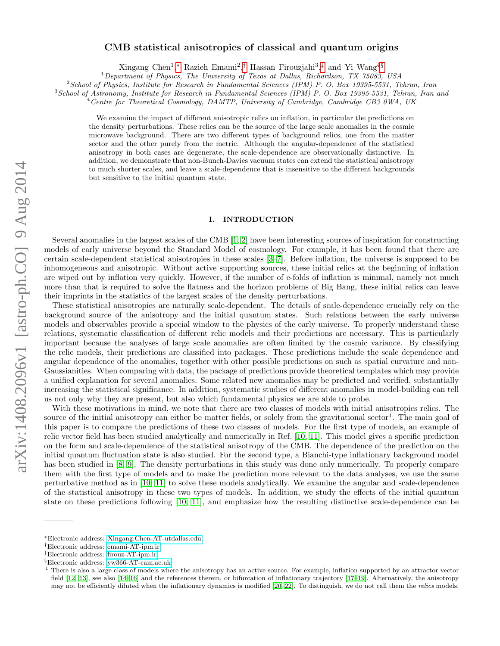# CMB statistical anisotropies of classical and quantum origins

Xingang Chen<sup>1</sup>,\* Razieh Emami<sup>2</sup>,<sup>[†](#page-0-1)</sup> Hassan Firouzjahi<sup>3</sup>,<sup>[‡](#page-0-2)</sup> and Yi Wang<sup>4[§](#page-0-3)</sup>

<sup>1</sup>Department of Physics, The University of Texas at Dallas, Richardson, TX 75083, USA

 $2$ School of Physics, Institute for Research in Fundamental Sciences (IPM) P. O. Box 19395-5531, Tehran, Iran

<sup>3</sup>School of Astronomy, Institute for Research in Fundamental Sciences (IPM) P. O. Box 19395-5531, Tehran, Iran and

<sup>4</sup>Centre for Theoretical Cosmology, DAMTP, University of Cambridge, Cambridge CB3 0WA, UK

We examine the impact of different anisotropic relics on inflation, in particular the predictions on the density perturbations. These relics can be the source of the large scale anomalies in the cosmic microwave background. There are two different types of background relics, one from the matter sector and the other purely from the metric. Although the angular-dependence of the statistical anisotropy in both cases are degenerate, the scale-dependence are observationally distinctive. In addition, we demonstrate that non-Bunch-Davies vacuum states can extend the statistical anisotropy to much shorter scales, and leave a scale-dependence that is insensitive to the different backgrounds but sensitive to the initial quantum state.

#### I. INTRODUCTION

Several anomalies in the largest scales of the CMB [\[1,](#page-14-0) [2\]](#page-14-1) have been interesting sources of inspiration for constructing models of early universe beyond the Standard Model of cosmology. For example, it has been found that there are certain scale-dependent statistical anisotropies in these scales [\[3](#page-14-2)[–7\]](#page-14-3). Before inflation, the universe is supposed to be inhomogeneous and anisotropic. Without active supporting sources, these initial relics at the beginning of inflation are wiped out by inflation very quickly. However, if the number of e-folds of inflation is minimal, namely not much more than that is required to solve the flatness and the horizon problems of Big Bang, these initial relics can leave their imprints in the statistics of the largest scales of the density perturbations.

These statistical anisotropies are naturally scale-dependent. The details of scale-dependence crucially rely on the background source of the anisotropy and the initial quantum states. Such relations between the early universe models and observables provide a special window to the physics of the early universe. To properly understand these relations, systematic classification of different relic models and their predictions are necessary. This is particularly important because the analyses of large scale anomalies are often limited by the cosmic variance. By classifying the relic models, their predictions are classified into packages. These predictions include the scale dependence and angular dependence of the anomalies, together with other possible predictions on such as spatial curvature and non-Gaussianities. When comparing with data, the package of predictions provide theoretical templates which may provide a unified explanation for several anomalies. Some related new anomalies may be predicted and verified, substantially increasing the statistical significance. In addition, systematic studies of different anomalies in model-building can tell us not only why they are present, but also which fundamental physics we are able to probe.

With these motivations in mind, we note that there are two classes of models with initial anisotropics relics. The source of the initial anisotropy can either be matter fields, or solely from the gravitational sector<sup>1</sup>. The main goal of this paper is to compare the predictions of these two classes of models. For the first type of models, an example of relic vector field has been studied analytically and numerically in Ref. [\[10,](#page-14-4) [11\]](#page-14-5). This model gives a specific prediction on the form and scale-dependence of the statistical anisotropy of the CMB. The dependence of the prediction on the initial quantum fluctuation state is also studied. For the second type, a Bianchi-type inflationary background model has been studied in [\[8,](#page-14-6) [9\]](#page-14-7). The density perturbations in this study was done only numerically. To properly compare them with the first type of models and to make the prediction more relevant to the data analyses, we use the same perturbative method as in [\[10,](#page-14-4) [11\]](#page-14-5) to solve these models analytically. We examine the angular and scale-dependence of the statistical anisotropy in these two types of models. In addition, we study the effects of the initial quantum state on these predictions following [\[10,](#page-14-4) [11\]](#page-14-5), and emphasize how the resulting distinctive scale-dependence can be

<span id="page-0-0"></span><sup>∗</sup>Electronic address: [Xingang.Chen-AT-utdallas.edu](mailto:Xingang.Chen-AT-utdallas.edu)

<span id="page-0-1"></span><sup>†</sup>Electronic address: [emami-AT-ipm.ir](mailto:emami-AT-ipm.ir)

<span id="page-0-2"></span><sup>‡</sup>Electronic address: [firouz-AT-ipm.ir](mailto:firouz-AT-ipm.ir)

<span id="page-0-3"></span><sup>§</sup>Electronic address: [yw366-AT-cam.ac.uk](mailto:yw366-AT-cam.ac.uk)

<sup>1</sup> There is also a large class of models where the anisotropy has an active source. For example, inflation supported by an attractor vector field [\[12,](#page-14-8) [13\]](#page-14-9), see also [\[14](#page-14-10)[–16\]](#page-14-11) and the references therein, or bifurcation of inflationary trajectory [\[17](#page-14-12)[–19\]](#page-14-13). Alternatively, the anisotropy may not be efficiently diluted when the inflationary dynamics is modified [\[20–](#page-14-14)[22\]](#page-14-15). To distinguish, we do not call them the relics models.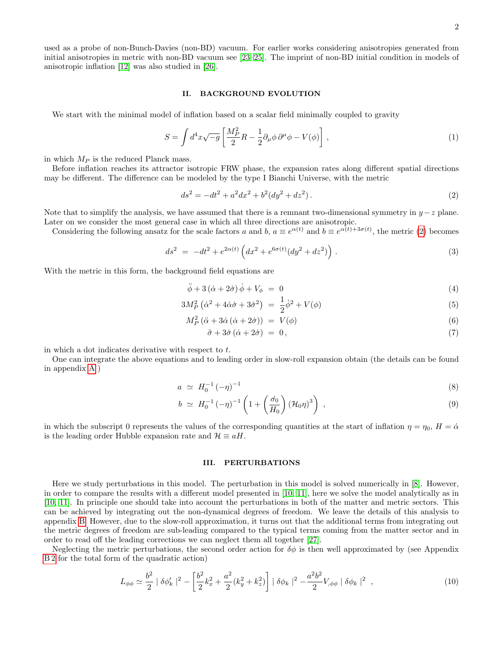used as a probe of non-Bunch-Davies (non-BD) vacuum. For earlier works considering anisotropies generated from initial anisotropies in metric with non-BD vacuum see [\[23](#page-14-16)[–25\]](#page-14-17). The imprint of non-BD initial condition in models of anisotropic inflation [\[12\]](#page-14-8) was also studied in [\[26\]](#page-14-18).

#### II. BACKGROUND EVOLUTION

We start with the minimal model of inflation based on a scalar field minimally coupled to gravity

$$
S = \int d^4x \sqrt{-g} \left[ \frac{M_P^2}{2} R - \frac{1}{2} \partial_\mu \phi \, \partial^\mu \phi - V(\phi) \right] \,, \tag{1}
$$

in which  $M_P$  is the reduced Planck mass.

Before inflation reaches its attractor isotropic FRW phase, the expansion rates along different spatial directions may be different. The difference can be modeled by the type I Bianchi Universe, with the metric

<span id="page-1-0"></span>
$$
ds^{2} = -dt^{2} + a^{2}dx^{2} + b^{2}(dy^{2} + dz^{2}).
$$
\n(2)

Note that to simplify the analysis, we have assumed that there is a remnant two-dimensional symmetry in  $y - z$  plane. Later on we consider the most general case in which all three directions are anisotropic.

Considering the following ansatz for the scale factors a and b,  $a \equiv e^{\alpha(t)}$  and  $b \equiv e^{\alpha(t)+3\sigma(t)}$ , the metric [\(2\)](#page-1-0) becomes

<span id="page-1-3"></span>
$$
ds^{2} = -dt^{2} + e^{2\alpha(t)} \left( dx^{2} + e^{6\sigma(t)} (dy^{2} + dz^{2}) \right).
$$
 (3)

With the metric in this form, the background field equations are

$$
\ddot{\phi} + 3(\dot{\alpha} + 2\dot{\sigma})\dot{\phi} + V_{\phi} = 0 \tag{4}
$$

<span id="page-1-2"></span>
$$
3M_P^2\left(\dot{\alpha}^2 + 4\dot{\alpha}\dot{\sigma} + 3\dot{\sigma}^2\right) = \frac{1}{2}\dot{\phi}^2 + V(\phi)
$$
\n<sup>(5)</sup>

$$
M_P^2(\ddot{\alpha} + 3\dot{\alpha}(\dot{\alpha} + 2\dot{\sigma})) = V(\phi) \tag{6}
$$

$$
\ddot{\sigma} + 3\dot{\sigma} \left( \dot{\alpha} + 2\dot{\sigma} \right) = 0, \tag{7}
$$

in which a dot indicates derivative with respect to t.

One can integrate the above equations and to leading order in slow-roll expansion obtain (the details can be found in appendix [A](#page-11-0) )

$$
a \simeq H_0^{-1} \left( -\eta \right)^{-1} \tag{8}
$$

<span id="page-1-1"></span>
$$
b \simeq H_0^{-1} \left( -\eta \right)^{-1} \left( 1 + \left( \frac{\dot{\sigma}_0}{H_0} \right) \left( \mathcal{H}_0 \eta \right)^3 \right) , \qquad (9)
$$

in which the subscript 0 represents the values of the corresponding quantities at the start of inflation  $\eta = \eta_0$ ,  $H = \dot{\alpha}$ is the leading order Hubble expansion rate and  $\mathcal{H} \equiv aH$ .

## III. PERTURBATIONS

Here we study perturbations in this model. The perturbation in this model is solved numerically in [\[8\]](#page-14-6). However, in order to compare the results with a different model presented in [\[10,](#page-14-4) [11\]](#page-14-5), here we solve the model analytically as in [\[10,](#page-14-4) [11\]](#page-14-5). In principle one should take into account the perturbations in both of the matter and metric sectors. This can be achieved by integrating out the non-dynamical degrees of freedom. We leave the details of this analysis to appendix [B.](#page-11-1) However, due to the slow-roll approximation, it turns out that the additional terms from integrating out the metric degrees of freedom are sub-leading compared to the typical terms coming from the matter sector and in order to read off the leading corrections we can neglect them all together [\[27\]](#page-14-19).

Neglecting the metric perturbations, the second order action for  $\delta\phi$  is then well approximated by (see Appendix [B 2](#page-12-0) for the total form of the quadratic action)

$$
L_{\phi\phi} \simeq \frac{b^2}{2} \mid \delta\phi_k' \mid^2 - \left[\frac{b^2}{2}k_x^2 + \frac{a^2}{2}(k_y^2 + k_z^2)\right] \mid \delta\phi_k \mid^2 - \frac{a^2b^2}{2}V_{,\phi\phi} \mid \delta\phi_k \mid^2 , \tag{10}
$$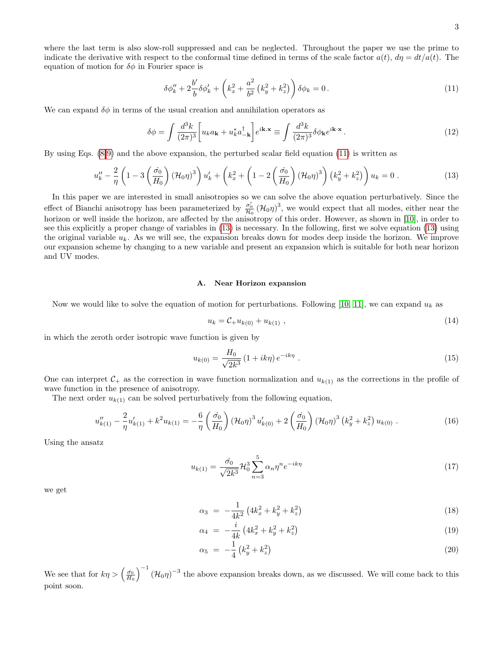where the last term is also slow-roll suppressed and can be neglected. Throughout the paper we use the prime to indicate the derivative with respect to the conformal time defined in terms of the scale factor  $a(t)$ ,  $d\eta = dt/a(t)$ . The equation of motion for  $\delta\phi$  in Fourier space is

<span id="page-2-0"></span>
$$
\delta \phi_k'' + 2 \frac{b'}{b} \delta \phi_k' + \left( k_x^2 + \frac{a^2}{b^2} \left( k_y^2 + k_z^2 \right) \right) \delta \phi_k = 0 \,. \tag{11}
$$

We can expand  $\delta\phi$  in terms of the usual creation and annihilation operators as

<span id="page-2-3"></span>
$$
\delta\phi = \int \frac{d^3k}{(2\pi)^3} \left[ u_k a_{\mathbf{k}} + u_k^* a_{-\mathbf{k}}^\dagger \right] e^{i\mathbf{k} \cdot \mathbf{x}} \equiv \int \frac{d^3k}{(2\pi)^3} \delta\phi_{\mathbf{k}} e^{i\mathbf{k} \cdot \mathbf{x}} \,. \tag{12}
$$

By using Eqs. [\(8-9\)](#page-1-1) and the above expansion, the perturbed scalar field equation [\(11\)](#page-2-0) is written as

<span id="page-2-1"></span>
$$
u_k'' - \frac{2}{\eta} \left( 1 - 3 \left( \frac{\dot{\sigma_0}}{H_0} \right) \left( \mathcal{H}_0 \eta \right)^3 \right) u_k' + \left( k_x^2 + \left( 1 - 2 \left( \frac{\dot{\sigma_0}}{H_0} \right) \left( \mathcal{H}_0 \eta \right)^3 \right) \left( k_y^2 + k_z^2 \right) \right) u_k = 0 \tag{13}
$$

In this paper we are interested in small anisotropies so we can solve the above equation perturbatively. Since the effect of Bianchi anisotropy has been parameterized by  $\frac{\sigma'_0}{\mathcal{H}_0}(\mathcal{H}_0\eta)^3$ , we would expect that all modes, either near the horizon or well inside the horizon, are affected by the anisotropy of this order. However, as shown in [\[10\]](#page-14-4), in order to see this explicitly a proper change of variables in [\(13\)](#page-2-1) is necessary. In the following, first we solve equation [\(13\)](#page-2-1) using the original variable  $u_k$ . As we will see, the expansion breaks down for modes deep inside the horizon. We improve our expansion scheme by changing to a new variable and present an expansion which is suitable for both near horizon and UV modes.

#### A. Near Horizon expansion

Now we would like to solve the equation of motion for perturbations. Following [\[10,](#page-14-4) [11\]](#page-14-5), we can expand  $u_k$  as

<span id="page-2-4"></span>
$$
u_k = \mathcal{C}_+ u_{k(0)} + u_{k(1)} \tag{14}
$$

in which the zeroth order isotropic wave function is given by

$$
u_{k(0)} = \frac{H_0}{\sqrt{2k^3}} \left( 1 + ik\eta \right) e^{-ik\eta} \tag{15}
$$

One can interpret  $C_+$  as the correction in wave function normalization and  $u_{k(1)}$  as the corrections in the profile of wave function in the presence of anisotropy.

The next order  $u_{k(1)}$  can be solved perturbatively from the following equation,

$$
u''_{k(1)} - \frac{2}{\eta} u'_{k(1)} + k^2 u_{k(1)} = -\frac{6}{\eta} \left(\frac{\dot{\sigma_0}}{H_0}\right) (\mathcal{H}_0 \eta)^3 u'_{k(0)} + 2 \left(\frac{\dot{\sigma_0}}{H_0}\right) (\mathcal{H}_0 \eta)^3 \left(k_y^2 + k_z^2\right) u_{k(0)} \,. \tag{16}
$$

Using the ansatz

$$
u_{k(1)} = \frac{\dot{\sigma_0}}{\sqrt{2k^3}} \mathcal{H}_0^3 \sum_{n=3}^5 \alpha_n \eta^n e^{-ik\eta}
$$
 (17)

we get

$$
\alpha_3 = -\frac{1}{4k^2} \left( 4k_x^2 + k_y^2 + k_z^2 \right) \tag{18}
$$

<span id="page-2-2"></span>
$$
\alpha_4 = -\frac{i}{4k} \left( 4k_x^2 + k_y^2 + k_z^2 \right) \tag{19}
$$

$$
\alpha_5 = -\frac{1}{4} \left( k_y^2 + k_z^2 \right) \tag{20}
$$

We see that for  $k\eta > \left(\frac{\sigma_0}{H_0}\right)^{-1} (\mathcal{H}_0 \eta)^{-3}$  the above expansion breaks down, as we discussed. We will come back to this point soon.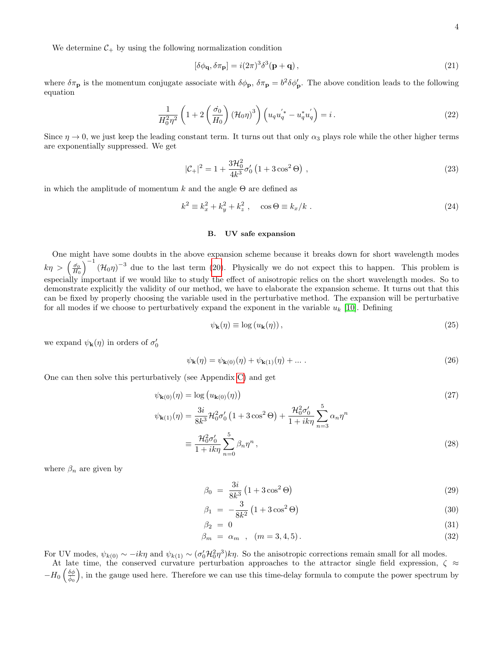We determine  $C_+$  by using the following normalization condition

$$
[\delta\phi_{\mathbf{q}}, \delta\pi_{\mathbf{p}}] = i(2\pi)^3 \delta^3(\mathbf{p} + \mathbf{q}), \qquad (21)
$$

where  $\delta\pi_p$  is the momentum conjugate associate with  $\delta\phi_p$ ,  $\delta\pi_p = b^2\delta\phi'_p$ . The above condition leads to the following equation

$$
\frac{1}{H_0^2 \eta^2} \left(1 + 2\left(\frac{\dot{\sigma}_0}{H_0}\right) \left(\mathcal{H}_0 \eta\right)^3\right) \left(u_q u_q^{'*} - u_q^* u_q^{'}\right) = i\,. \tag{22}
$$

Since  $\eta \to 0$ , we just keep the leading constant term. It turns out that only  $\alpha_3$  plays role while the other higher terms are exponentially suppressed. We get

$$
|\mathcal{C}_+|^2 = 1 + \frac{3\mathcal{H}_0^2}{4k^3} \sigma'_0 \left(1 + 3\cos^2\Theta\right) ,\qquad (23)
$$

in which the amplitude of momentum k and the angle  $\Theta$  are defined as

<span id="page-3-1"></span>
$$
k^2 \equiv k_x^2 + k_y^2 + k_z^2 \;, \quad \cos \Theta \equiv k_x / k \; . \tag{24}
$$

#### B. UV safe expansion

One might have some doubts in the above expansion scheme because it breaks down for short wavelength modes  $k\eta > \left(\frac{\sigma_0}{H_0}\right)^{-1} (\mathcal{H}_0 \eta)^{-3}$  due to the last term [\(20\)](#page-2-2). Physically we do not expect this to happen. This problem is especially important if we would like to study the effect of anisotropic relics on the short wavelength modes. So to demonstrate explicitly the validity of our method, we have to elaborate the expansion scheme. It turns out that this can be fixed by properly choosing the variable used in the perturbative method. The expansion will be perturbative for all modes if we choose to perturbatively expand the exponent in the variable  $u_k$  [\[10\]](#page-14-4). Defining

<span id="page-3-0"></span>
$$
\psi_{\mathbf{k}}(\eta) \equiv \log \left( u_{\mathbf{k}}(\eta) \right),\tag{25}
$$

we expand  $\psi_{\mathbf{k}}(\eta)$  in orders of  $\sigma'_{0}$ 

$$
\psi_{\mathbf{k}}(\eta) = \psi_{\mathbf{k}(0)}(\eta) + \psi_{\mathbf{k}(1)}(\eta) + \dots \tag{26}
$$

One can then solve this perturbatively (see Appendix [C\)](#page-13-0) and get

$$
\psi_{\mathbf{k}(0)}(\eta) = \log (u_{\mathbf{k}(0)}(\eta))
$$
\n
$$
\psi_{\mathbf{k}(1)}(\eta) = \frac{3i}{8k^3} \mathcal{H}_0^2 \sigma'_0 (1 + 3 \cos^2 \Theta) + \frac{\mathcal{H}_0^2 \sigma'_0}{1 + ik\eta} \sum_{n=3}^5 \alpha_n \eta^n
$$
\n
$$
\equiv \frac{\mathcal{H}_0^2 \sigma'_0}{1 + ik\eta} \sum_{n=0}^5 \beta_n \eta^n ,
$$
\n(28)

where  $\beta_n$  are given by

$$
\beta_0 = \frac{3i}{8k^3} (1 + 3\cos^2 \Theta) \tag{29}
$$

$$
\beta_1 = -\frac{3}{8k^2} \left( 1 + 3 \cos^2 \Theta \right) \tag{30}
$$

$$
\beta_2 = 0 \tag{31}
$$

$$
\beta_m = \alpha_m , \quad (m = 3, 4, 5). \tag{32}
$$

For UV modes,  $\psi_{k(0)} \sim -ik\eta$  and  $\psi_{k(1)} \sim (\sigma'_0 \mathcal{H}_0^2 \eta^3) k\eta$ . So the anisotropic corrections remain small for all modes.

At late time, the conserved curvature perturbation approaches to the attractor single field expression,  $\zeta \approx$  $-H_0\left(\frac{\delta\phi}{\dot\phi_0}\right.$ , in the gauge used here. Therefore we can use this time-delay formula to compute the power spectrum by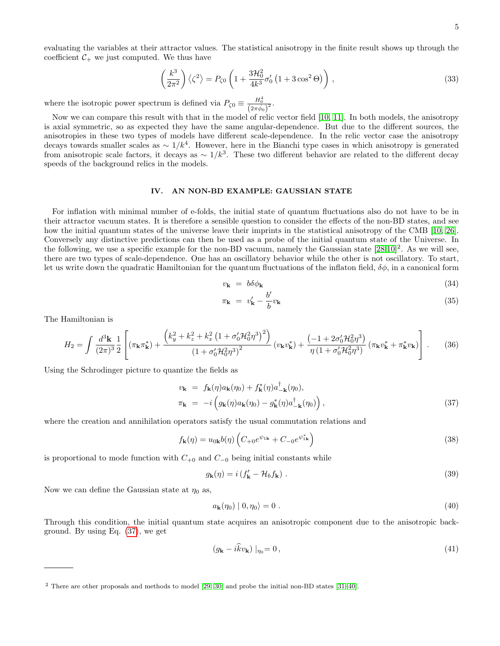<span id="page-4-2"></span>
$$
\left(\frac{k^3}{2\pi^2}\right)\left\langle\zeta^2\right\rangle = P_{\zeta 0} \left(1 + \frac{3\mathcal{H}_0^2}{4k^3} \sigma_0' \left(1 + 3\cos^2\Theta\right)\right),\tag{33}
$$

where the isotropic power spectrum is defined via  $P_{\zeta 0} \equiv \frac{H_0^4}{(2\pi\dot{\phi}_0)^2}$ .

Now we can compare this result with that in the model of relic vector field [\[10,](#page-14-4) [11\]](#page-14-5). In both models, the anisotropy is axial symmetric, so as expected they have the same angular-dependence. But due to the different sources, the anisotropies in these two types of models have different scale-dependence. In the relic vector case the anisotropy decays towards smaller scales as  $\sim 1/k^4$ . However, here in the Bianchi type cases in which anisotropy is generated from anisotropic scale factors, it decays as  $\sim 1/k^3$ . These two different behavior are related to the different decay speeds of the background relics in the models.

# IV. AN NON-BD EXAMPLE: GAUSSIAN STATE

For inflation with minimal number of e-folds, the initial state of quantum fluctuations also do not have to be in their attractor vacuum states. It is therefore a sensible question to consider the effects of the non-BD states, and see how the initial quantum states of the universe leave their imprints in the statistical anisotropy of the CMB [\[10,](#page-14-4) [26\]](#page-14-18). Conversely any distinctive predictions can then be used as a probe of the initial quantum state of the Universe. In the following, we use a specific example for the non-BD vacuum, namely the Gaussian state  $[28,10]^2$  $[28,10]^2$  $[28,10]^2$ . As we will see, there are two types of scale-dependence. One has an oscillatory behavior while the other is not oscillatory. To start, let us write down the quadratic Hamiltonian for the quantum fluctuations of the inflaton field,  $\delta\phi$ , in a canonical form

$$
v_{\mathbf{k}} = b\delta\phi_{\mathbf{k}} \tag{34}
$$

$$
\pi_{\mathbf{k}} = v'_{\mathbf{k}} - \frac{b'}{b} v_{\mathbf{k}} \tag{35}
$$

The Hamiltonian is

$$
H_2 = \int \frac{d^3 \mathbf{k}}{(2\pi)^3} \frac{1}{2} \left[ (\pi_\mathbf{k} \pi_\mathbf{k}^*) + \frac{\left(k_y^2 + k_z^2 + k_x^2 \left(1 + \sigma_0' \mathcal{H}_0^2 \eta^3\right)^2\right)}{\left(1 + \sigma_0' \mathcal{H}_0^2 \eta^3\right)^2} \left(v_\mathbf{k} v_\mathbf{k}^*\right) + \frac{\left(-1 + 2\sigma_0' \mathcal{H}_0^2 \eta^3\right)}{\eta \left(1 + \sigma_0' \mathcal{H}_0^2 \eta^3\right)} \left(\pi_\mathbf{k} v_\mathbf{k}^* + \pi_\mathbf{k}^* v_\mathbf{k}\right) \right].
$$
 (36)

Using the Schrodinger picture to quantize the fields as

<span id="page-4-0"></span>
$$
v_{\mathbf{k}} = f_{\mathbf{k}}(\eta) a_{\mathbf{k}}(\eta_0) + f_{\mathbf{k}}^*(\eta) a_{-\mathbf{k}}^\dagger(\eta_0),
$$
  

$$
\pi_{\mathbf{k}} = -i \left( g_{\mathbf{k}}(\eta) a_{\mathbf{k}}(\eta_0) - g_{\mathbf{k}}^*(\eta) a_{-\mathbf{k}}^\dagger(\eta_0) \right),
$$
 (37)

where the creation and annihilation operators satisfy the usual commutation relations and

$$
f_{\mathbf{k}}(\eta) = u_{0\mathbf{k}}b(\eta) \left( C_{+0}e^{\psi_{1\mathbf{k}}} + C_{-0}e^{\psi_{1\mathbf{k}}^{*}} \right)
$$
\n(38)

is proportional to mode function with  $C_{+0}$  and  $C_{-0}$  being initial constants while

$$
g_{\mathbf{k}}(\eta) = i \left( f_{\mathbf{k}}' - \mathcal{H}_b f_{\mathbf{k}} \right). \tag{39}
$$

Now we can define the Gaussian state at  $\eta_0$  as,

$$
a_{\mathbf{k}}(\eta_0) \mid 0, \eta_0 \rangle = 0 \tag{40}
$$

Through this condition, the initial quantum state acquires an anisotropic component due to the anisotropic background. By using Eq. [\(37\)](#page-4-0), we get

<span id="page-4-1"></span>
$$
(g_{\mathbf{k}} - i\hat{k}v_{\mathbf{k}})|_{\eta_0} = 0, \qquad (41)
$$

<sup>2</sup> There are other proposals and methods to model [\[29,](#page-14-21) [30\]](#page-14-22) and probe the initial non-BD states [\[31–](#page-14-23)[40\]](#page-15-0).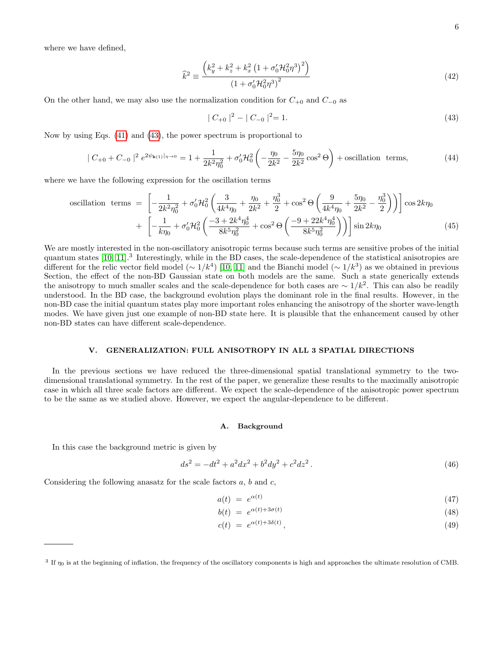where we have defined,

$$
\widehat{k}^{2} \equiv \frac{\left(k_{y}^{2} + k_{z}^{2} + k_{x}^{2} \left(1 + \sigma_{0}' \mathcal{H}_{0}^{2} \eta^{3}\right)^{2}\right)}{\left(1 + \sigma_{0}' \mathcal{H}_{0}^{2} \eta^{3}\right)^{2}}
$$
\n(42)

On the other hand, we may also use the normalization condition for  $C_{+0}$  and  $C_{-0}$  as

<span id="page-5-0"></span>
$$
|C_{+0}|^2 - |C_{-0}|^2 = 1.
$$
\n(43)

Now by using Eqs. [\(41\)](#page-4-1) and [\(43\)](#page-5-0), the power spectrum is proportional to

$$
|C_{+0} + C_{-0}|^2 e^{2\psi_{\mathbf{k}(1)}|_{\eta \to 0}} = 1 + \frac{1}{2k^2 \eta_0^2} + \sigma_0' \mathcal{H}_0^2 \left( -\frac{\eta_0}{2k^2} - \frac{5\eta_0}{2k^2} \cos^2 \Theta \right) + \text{oscillation terms},\tag{44}
$$

where we have the following expression for the oscillation terms

oscillation terms 
$$
= \left[ -\frac{1}{2k^2\eta_0^2} + \sigma_0' \mathcal{H}_0^2 \left( \frac{3}{4k^4\eta_0} + \frac{\eta_0}{2k^2} + \frac{\eta_0^3}{2} + \cos^2 \Theta \left( \frac{9}{4k^4\eta_0} + \frac{5\eta_0}{2k^2} - \frac{\eta_0^3}{2} \right) \right) \right] \cos 2k\eta_0
$$

$$
+ \left[ -\frac{1}{k\eta_0} + \sigma_0' \mathcal{H}_0^2 \left( \frac{-3 + 2k^4\eta_0^4}{8k^5\eta_0^2} + \cos^2 \Theta \left( \frac{-9 + 22k^4\eta_0^4}{8k^5\eta_0^2} \right) \right) \right] \sin 2k\eta_0 \tag{45}
$$

We are mostly interested in the non-oscillatory anisotropic terms because such terms are sensitive probes of the initial quantum states [\[10,](#page-14-4) [11\]](#page-14-5).<sup>3</sup> Interestingly, while in the BD cases, the scale-dependence of the statistical anisotropies are different for the relic vector field model ( $\sim 1/k^4$ ) [\[10,](#page-14-4) [11\]](#page-14-5) and the Bianchi model ( $\sim 1/k^3$ ) as we obtained in previous Section, the effect of the non-BD Gaussian state on both models are the same. Such a state generically extends the anisotropy to much smaller scales and the scale-dependence for both cases are  $\sim 1/k^2$ . This can also be readily understood. In the BD case, the background evolution plays the dominant role in the final results. However, in the non-BD case the initial quantum states play more important roles enhancing the anisotropy of the shorter wave-length modes. We have given just one example of non-BD state here. It is plausible that the enhancement caused by other non-BD states can have different scale-dependence.

#### V. GENERALIZATION: FULL ANISOTROPY IN ALL 3 SPATIAL DIRECTIONS

In the previous sections we have reduced the three-dimensional spatial translational symmetry to the twodimensional translational symmetry. In the rest of the paper, we generalize these results to the maximally anisotropic case in which all three scale factors are different. We expect the scale-dependence of the anisotropic power spectrum to be the same as we studied above. However, we expect the angular-dependence to be different.

## A. Background

In this case the background metric is given by

$$
ds^2 = -dt^2 + a^2 dx^2 + b^2 dy^2 + c^2 dz^2.
$$
\n(46)

Considering the following anasatz for the scale factors  $a, b$  and  $c,$ 

$$
a(t) = e^{\alpha(t)} \tag{47}
$$

$$
b(t) = e^{\alpha(t) + 3\sigma(t)} \tag{48}
$$

$$
c(t) = e^{\alpha(t) + 3\delta(t)}, \tag{49}
$$

 $3$  If  $\eta_0$  is at the beginning of inflation, the frequency of the oscillatory components is high and approaches the ultimate resolution of CMB.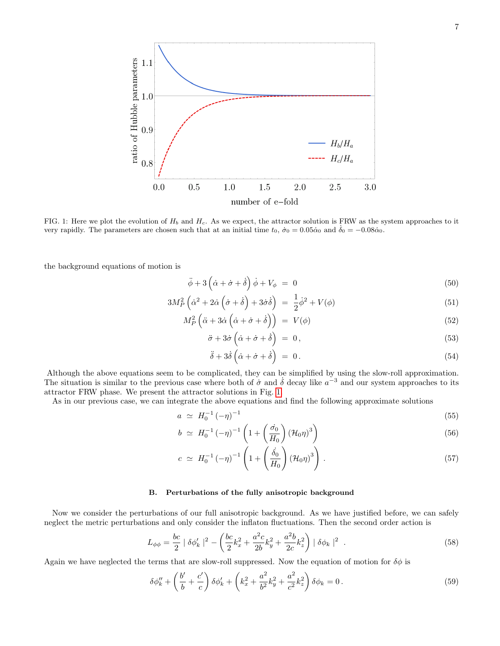

<span id="page-6-0"></span>FIG. 1: Here we plot the evolution of  $H_b$  and  $H_c$ . As we expect, the attractor solution is FRW as the system approaches to it very rapidly. The parameters are chosen such that at an initial time  $t_0$ ,  $\dot{\sigma}_0 = 0.05 \dot{\alpha}_0$  and  $\dot{\delta}_0 = -0.08 \dot{\alpha}_0$ .

the background equations of motion is

$$
\ddot{\phi} + 3\left(\dot{\alpha} + \dot{\sigma} + \dot{\delta}\right)\dot{\phi} + V_{\phi} = 0 \tag{50}
$$

$$
3M_P^2 \left( \dot{\alpha}^2 + 2\dot{\alpha} \left( \dot{\sigma} + \dot{\delta} \right) + 3\dot{\sigma}\dot{\delta} \right) = \frac{1}{2} \dot{\phi}^2 + V(\phi) \tag{51}
$$

$$
M_P^2\left(\ddot{\alpha} + 3\dot{\alpha}\left(\dot{\alpha} + \dot{\sigma} + \dot{\delta}\right)\right) = V(\phi) \tag{52}
$$

$$
\ddot{\sigma} + 3\dot{\sigma}\left(\dot{\alpha} + \dot{\sigma} + \dot{\delta}\right) = 0,\tag{53}
$$

$$
\ddot{\delta} + 3\dot{\delta} \left( \dot{\alpha} + \dot{\sigma} + \dot{\delta} \right) = 0. \tag{54}
$$

Although the above equations seem to be complicated, they can be simplified by using the slow-roll approximation. The situation is similar to the previous case where both of  $\sigma$  and  $\delta$  decay like  $a^{-3}$  and our system approaches to its attractor FRW phase. We present the attractor solutions in Fig. [1.](#page-6-0)

As in our previous case, we can integrate the above equations and find the following approximate solutions

$$
a \simeq H_0^{-1} \left( -\eta \right)^{-1} \tag{55}
$$

$$
b \simeq H_0^{-1} \left( -\eta \right)^{-1} \left( 1 + \left( \frac{\dot{\sigma}_0}{H_0} \right) \left( \mathcal{H}_0 \eta \right)^3 \right) \tag{56}
$$

$$
c \simeq H_0^{-1} \left( -\eta \right)^{-1} \left( 1 + \left( \frac{\dot{\delta}_0}{H_0} \right) \left( \mathcal{H}_0 \eta \right)^3 \right) . \tag{57}
$$

## B. Perturbations of the fully anisotropic background

Now we consider the perturbations of our full anisotropic background. As we have justified before, we can safely neglect the metric perturbations and only consider the inflaton fluctuations. Then the second order action is

$$
L_{\phi\phi} = \frac{bc}{2} \mid \delta\phi'_k \mid^2 - \left(\frac{bc}{2}k_x^2 + \frac{a^2c}{2b}k_y^2 + \frac{a^2b}{2c}k_z^2\right) \mid \delta\phi_k \mid^2 \quad . \tag{58}
$$

Again we have neglected the terms that are slow-roll suppressed. Now the equation of motion for  $\delta\phi$  is

$$
\delta \phi_k'' + \left(\frac{b'}{b} + \frac{c'}{c}\right) \delta \phi_k' + \left(k_x^2 + \frac{a^2}{b^2} k_y^2 + \frac{a^2}{c^2} k_z^2\right) \delta \phi_k = 0. \tag{59}
$$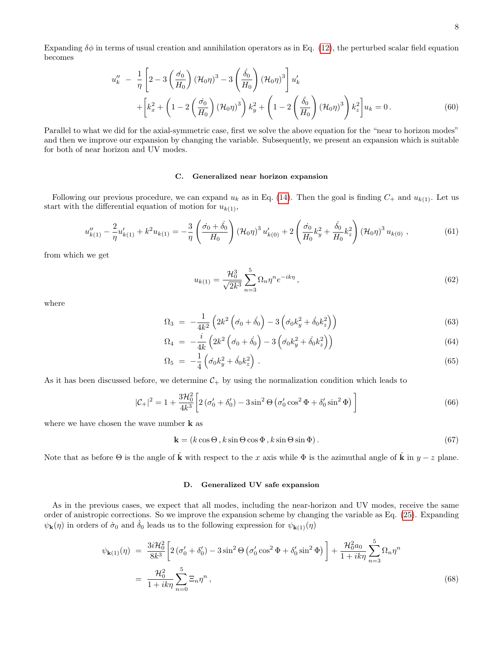$$
u_k'' - \frac{1}{\eta} \left[ 2 - 3 \left( \frac{\dot{\sigma}_0}{H_0} \right) (\mathcal{H}_0 \eta)^3 - 3 \left( \frac{\dot{\delta}_0}{H_0} \right) (\mathcal{H}_0 \eta)^3 \right] u_k'
$$
  
+ 
$$
\left[ k_x^2 + \left( 1 - 2 \left( \frac{\dot{\sigma}_0}{H_0} \right) (\mathcal{H}_0 \eta)^3 \right) k_y^2 + \left( 1 - 2 \left( \frac{\dot{\delta}_0}{H_0} \right) (\mathcal{H}_0 \eta)^3 \right) k_z^2 \right] u_k = 0.
$$
 (60)

Parallel to what we did for the axial-symmetric case, first we solve the above equation for the "near to horizon modes" and then we improve our expansion by changing the variable. Subsequently, we present an expansion which is suitable for both of near horizon and UV modes.

## C. Generalized near horizon expansion

Following our previous procedure, we can expand  $u_k$  as in Eq. [\(14\)](#page-2-4). Then the goal is finding  $C_+$  and  $u_{k(1)}$ . Let us start with the differential equation of motion for  $u_{k(1)}$ ,

$$
u_{k(1)}'' - \frac{2}{\eta} u_{k(1)}' + k^2 u_{k(1)} = -\frac{3}{\eta} \left( \frac{\dot{\sigma_0} + \dot{\delta_0}}{H_0} \right) (\mathcal{H}_0 \eta)^3 u_{k(0)}' + 2 \left( \frac{\dot{\sigma_0}}{H_0} k_y^2 + \frac{\dot{\delta_0}}{H_0} k_z^2 \right) (\mathcal{H}_0 \eta)^3 u_{k(0)}, \tag{61}
$$

from which we get

$$
u_{k(1)} = \frac{\mathcal{H}_0^3}{\sqrt{2k^3}} \sum_{n=3}^5 \Omega_n \eta^n e^{-ik\eta}, \qquad (62)
$$

where

$$
\Omega_3 = -\frac{1}{4k^2} \left( 2k^2 \left( \dot{\sigma}_0 + \dot{\delta}_0 \right) - 3 \left( \dot{\sigma}_0 k_y^2 + \dot{\delta}_0 k_z^2 \right) \right) \tag{63}
$$

$$
\Omega_4 = -\frac{i}{4k} \left( 2k^2 \left( \dot{\sigma_0} + \dot{\delta_0} \right) - 3 \left( \dot{\sigma_0} k_y^2 + \dot{\delta_0} k_z^2 \right) \right) \tag{64}
$$

$$
\Omega_5 = -\frac{1}{4} \left( \dot{\sigma_0} k_y^2 + \dot{\delta_0} k_z^2 \right). \tag{65}
$$

As it has been discussed before, we determine  $C_+$  by using the normalization condition which leads to

$$
|\mathcal{C}_{+}|^{2} = 1 + \frac{3\mathcal{H}_{0}^{2}}{4k^{3}} \left[ 2\left(\sigma_{0}^{\prime} + \delta_{0}^{\prime}\right) - 3\sin^{2}\Theta\left(\sigma_{0}^{\prime}\cos^{2}\Phi + \delta_{0}^{\prime}\sin^{2}\Phi\right) \right]
$$
(66)

where we have chosen the wave number  $\bf{k}$  as

$$
\mathbf{k} = (k \cos \Theta, k \sin \Theta \cos \Phi, k \sin \Theta \sin \Phi). \tag{67}
$$

Note that as before  $\Theta$  is the angle of  $\hat{\mathbf{k}}$  with respect to the x axis while  $\Phi$  is the azimuthal angle of  $\hat{\mathbf{k}}$  in  $y - z$  plane.

## D. Generalized UV safe expansion

As in the previous cases, we expect that all modes, including the near-horizon and UV modes, receive the same order of anistropic corrections. So we improve the expansion scheme by changing the variable as Eq. [\(25\)](#page-3-0). Expanding  $\psi_{\bf k}(\eta)$  in orders of  $\dot{\sigma}_0$  and  $\dot{\delta}_0$  leads us to the following expression for  $\psi_{\bf k}(1)(\eta)$ 

$$
\psi_{\mathbf{k}(1)}(\eta) = \frac{3i\mathcal{H}_0^2}{8k^3} \bigg[ 2\left(\sigma_0' + \delta_0'\right) - 3\sin^2\Theta \left(\sigma_0' \cos^2\Phi + \delta_0' \sin^2\Phi\right) \bigg] + \frac{\mathcal{H}_0^2 a_0}{1 + ik\eta} \sum_{n=3}^5 \Omega_n \eta^n
$$
\n
$$
= \frac{\mathcal{H}_0^2}{1 + ik\eta} \sum_{n=0}^5 \Xi_n \eta^n , \tag{68}
$$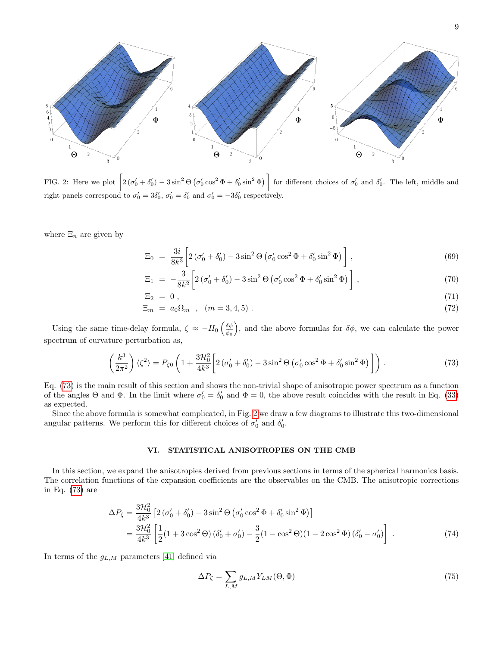

<span id="page-8-1"></span>FIG. 2: Here we plot  $\left[2(\sigma'_0 + \delta'_0) - 3\sin^2\Theta\left(\sigma'_0\cos^2\Phi + \delta'_0\sin^2\Phi\right)\right]$  for different choices of  $\sigma'_0$  and  $\delta'_0$ . The left, middle and right panels correspond to  $\sigma'_0 = 3\delta'_0$ ,  $\sigma'_0 = \delta'_0$  and  $\sigma'_0 = -3\delta'_0$  respectively.

where  $\Xi_n$  are given by

$$
\Xi_0 = \frac{3i}{8k^3} \left[ 2\left(\sigma'_0 + \delta'_0\right) - 3\sin^2\Theta \left(\sigma'_0 \cos^2\Phi + \delta'_0 \sin^2\Phi\right) \right],\tag{69}
$$

$$
\Xi_1 = -\frac{3}{8k^2} \left[ 2\left(\sigma'_0 + \delta'_0\right) - 3\sin^2\Theta \left(\sigma'_0 \cos^2\Phi + \delta'_0 \sin^2\Phi\right) \right],\tag{70}
$$

$$
\Xi_2 = 0, \n\Xi_m = a_0 \Omega_m , (m = 3, 4, 5).
$$
\n(71)

Using the same time-delay formula,  $\zeta \approx -H_0 \left( \frac{\delta \phi}{\dot{\phi}_0} \right)$ ), and the above formulas for  $\delta\phi$ , we can calculate the power spectrum of curvature perturbation as,

<span id="page-8-0"></span>
$$
\left(\frac{k^3}{2\pi^2}\right)\langle\zeta^2\rangle = P_{\zeta 0} \left(1 + \frac{3\mathcal{H}_0^2}{4k^3} \left[2\left(\sigma_0' + \delta_0'\right) - 3\sin^2\Theta\left(\sigma_0' \cos^2\Phi + \delta_0' \sin^2\Phi\right)\right]\right). \tag{73}
$$

Eq. [\(73\)](#page-8-0) is the main result of this section and shows the non-trivial shape of anisotropic power spectrum as a function of the angles  $\Theta$  and  $\Phi$ . In the limit where  $\sigma'_0 = \delta'_0$  and  $\Phi = 0$ , the above result coincides with the result in Eq. [\(33\)](#page-4-2) as expected.

Since the above formula is somewhat complicated, in Fig. [2](#page-8-1) we draw a few diagrams to illustrate this two-dimensional angular patterns. We perform this for different choices of  $\sigma'_0$  and  $\delta'_0$ .

## VI. STATISTICAL ANISOTROPIES ON THE CMB

In this section, we expand the anisotropies derived from previous sections in terms of the spherical harmonics basis. The correlation functions of the expansion coefficients are the observables on the CMB. The anisotropic corrections in Eq. [\(73\)](#page-8-0) are

$$
\Delta P_{\zeta} = \frac{3\mathcal{H}_0^2}{4k^3} \left[ 2\left(\sigma_0' + \delta_0'\right) - 3\sin^2\Theta \left(\sigma_0' \cos^2\Phi + \delta_0' \sin^2\Phi\right) \right]
$$
  
= 
$$
\frac{3\mathcal{H}_0^2}{4k^3} \left[ \frac{1}{2} (1 + 3\cos^2\Theta) \left(\delta_0' + \sigma_0'\right) - \frac{3}{2} (1 - \cos^2\Theta) (1 - 2\cos^2\Phi) \left(\delta_0' - \sigma_0'\right) \right].
$$
 (74)

In terms of the  $g_{L,M}$  parameters [\[41\]](#page-15-1) defined via

<span id="page-8-2"></span>
$$
\Delta P_{\zeta} = \sum_{L,M} g_{L,M} Y_{LM}(\Theta, \Phi)
$$
\n(75)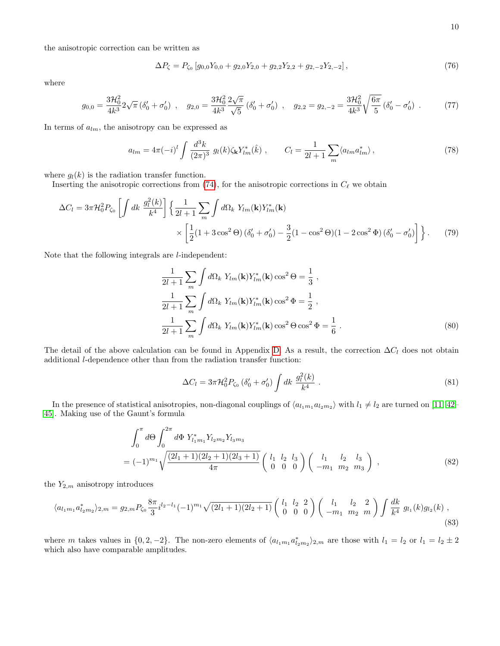the anisotropic correction can be written as

$$
\Delta P_{\zeta} = P_{\zeta_0} \left[ g_{0,0} Y_{0,0} + g_{2,0} Y_{2,0} + g_{2,2} Y_{2,2} + g_{2,-2} Y_{2,-2} \right],\tag{76}
$$

where

$$
g_{0,0} = \frac{3\mathcal{H}_0^2}{4k^3} 2\sqrt{\pi} \left( \delta_0' + \sigma_0' \right) , \quad g_{2,0} = \frac{3\mathcal{H}_0^2}{4k^3} \frac{2\sqrt{\pi}}{\sqrt{5}} \left( \delta_0' + \sigma_0' \right) , \quad g_{2,2} = g_{2,-2} = \frac{3\mathcal{H}_0^2}{4k^3} \sqrt{\frac{6\pi}{5}} \left( \delta_0' - \sigma_0' \right) . \tag{77}
$$

In terms of  $a_{lm}$ , the anisotropy can be expressed as

$$
a_{lm} = 4\pi (-i)^l \int \frac{d^3k}{(2\pi)^3} g_l(k) \zeta_{\mathbf{k}} Y_{lm}^*(\hat{k}) , \qquad C_l = \frac{1}{2l+1} \sum_m \langle a_{lm} a_{lm}^* \rangle , \qquad (78)
$$

where  $g_l(k)$  is the radiation transfer function.

Inserting the anisotropic corrections from [\(74\)](#page-8-2), for the anisotropic corrections in  $C_{\ell}$  we obtain

$$
\Delta C_l = 3\pi \mathcal{H}_0^2 P_{\zeta_0} \left[ \int dk \; \frac{g_l^2(k)}{k^4} \right] \left\{ \frac{1}{2l+1} \sum_m \int d\Omega_k \; Y_{lm}(\mathbf{k}) Y_{lm}^*(\mathbf{k}) \right.\n\times \left[ \frac{1}{2} (1 + 3 \cos^2 \Theta) \left( \delta_0' + \sigma_0' \right) - \frac{3}{2} (1 - \cos^2 \Theta) (1 - 2 \cos^2 \Phi) \left( \delta_0' - \sigma_0' \right) \right] \right\}.
$$
\n(79)

Note that the following integrals are l-independent:

$$
\frac{1}{2l+1} \sum_{m} \int d\Omega_k Y_{lm}(\mathbf{k}) Y_{lm}^*(\mathbf{k}) \cos^2 \Theta = \frac{1}{3} ,
$$
  

$$
\frac{1}{2l+1} \sum_{m} \int d\Omega_k Y_{lm}(\mathbf{k}) Y_{lm}^*(\mathbf{k}) \cos^2 \Phi = \frac{1}{2} ,
$$
  

$$
\frac{1}{2l+1} \sum_{m} \int d\Omega_k Y_{lm}(\mathbf{k}) Y_{lm}^*(\mathbf{k}) \cos^2 \Theta \cos^2 \Phi = \frac{1}{6} .
$$
 (80)

The detail of the above calculation can be found in Appendix [D.](#page-13-1) As a result, the correction  $\Delta C_l$  does not obtain additional l-dependence other than from the radiation transfer function:

$$
\Delta C_l = 3\pi \mathcal{H}_0^2 P_{\zeta_0} (\delta_0' + \sigma_0') \int dk \; \frac{g_l^2(k)}{k^4} \; . \tag{81}
$$

In the presence of statistical anisotropies, non-diagonal couplings of  $\langle a_{l_1m_1} a_{l_2m_2} \rangle$  with  $l_1 \neq l_2$  are turned on [\[11,](#page-14-5) [42–](#page-15-2) [45\]](#page-15-3). Making use of the Gaunt's formula

$$
\int_0^{\pi} d\Theta \int_0^{2\pi} d\Phi Y_{l_1 m_1}^* Y_{l_2 m_2} Y_{l_3 m_3}
$$
  
=  $(-1)^{m_1} \sqrt{\frac{(2l_1+1)(2l_2+1)(2l_3+1)}{4\pi}} \begin{pmatrix} l_1 & l_2 & l_3 \ l_1 & l_2 & l_3 \ 0 & 0 & 0 \end{pmatrix} \begin{pmatrix} l_1 & l_2 & l_3 \ -m_1 & m_2 & m_3 \end{pmatrix}$ , (82)

the  $Y_{2,m}$  anisotropy introduces

$$
\langle a_{l_1m_1} a_{l_2m_2}^* \rangle_{2,m} = g_{2,m} P_{\zeta_0} \frac{8\pi}{3} i^{l_2-l_1} (-1)^{m_1} \sqrt{(2l_1+1)(2l_2+1)} \begin{pmatrix} l_1 & l_2 & 2 \\ 0 & 0 & 0 \end{pmatrix} \begin{pmatrix} l_1 & l_2 & 2 \\ -m_1 & m_2 & m \end{pmatrix} \int \frac{dk}{k^4} g_{l_1}(k) g_{l_2}(k) ,
$$
\n
$$
(83)
$$

where m takes values in  $\{0, 2, -2\}$ . The non-zero elements of  $\langle a_{l_1m_1} a_{l_2m_2}^* \rangle_{2,m}$  are those with  $l_1 = l_2$  or  $l_1 = l_2 \pm 2$ which also have comparable amplitudes.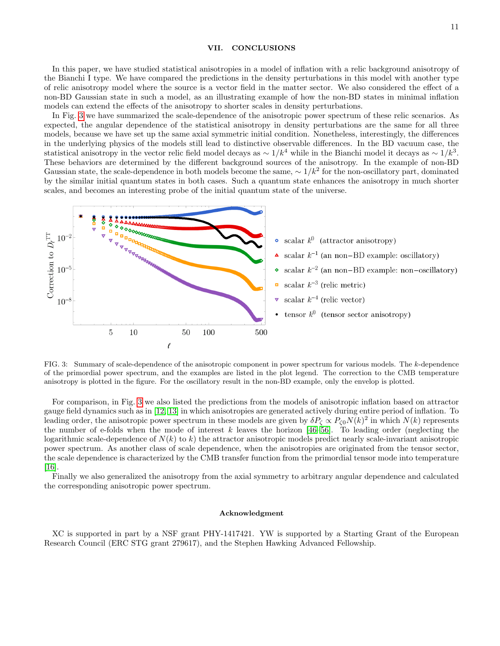### VII. CONCLUSIONS

In this paper, we have studied statistical anisotropies in a model of inflation with a relic background anisotropy of the Bianchi I type. We have compared the predictions in the density perturbations in this model with another type of relic anisotropy model where the source is a vector field in the matter sector. We also considered the effect of a non-BD Gaussian state in such a model, as an illustrating example of how the non-BD states in minimal inflation models can extend the effects of the anisotropy to shorter scales in density perturbations.

In Fig. [3](#page-10-0) we have summarized the scale-dependence of the anisotropic power spectrum of these relic scenarios. As expected, the angular dependence of the statistical anisotropy in density perturbations are the same for all three models, because we have set up the same axial symmetric initial condition. Nonetheless, interestingly, the differences in the underlying physics of the models still lead to distinctive observable differences. In the BD vacuum case, the statistical anisotropy in the vector relic field model decays as  $\sim 1/k^4$  while in the Bianchi model it decays as  $\sim 1/k^3$ . These behaviors are determined by the different background sources of the anisotropy. In the example of non-BD Gaussian state, the scale-dependence in both models become the same,  $\sim 1/k^2$  for the non-oscillatory part, dominated by the similar initial quantum states in both cases. Such a quantum state enhances the anisotropy in much shorter scales, and becomes an interesting probe of the initial quantum state of the universe.



<span id="page-10-0"></span>FIG. 3: Summary of scale-dependence of the anisotropic component in power spectrum for various models. The k-dependence of the primordial power spectrum, and the examples are listed in the plot legend. The correction to the CMB temperature anisotropy is plotted in the figure. For the oscillatory result in the non-BD example, only the envelop is plotted.

For comparison, in Fig. [3](#page-10-0) we also listed the predictions from the models of anisotropic inflation based on attractor gauge field dynamics such as in [\[12,](#page-14-8) [13\]](#page-14-9) in which anisotropies are generated actively during entire period of inflation. To leading order, the anisotropic power spectrum in these models are given by  $\delta P_\zeta \propto P_{\zeta 0} N(k)^2$  in which  $N(k)$  represents the number of e-folds when the mode of interest k leaves the horizon  $[46–56]$  $[46–56]$ . To leading order (neglecting the logarithmic scale-dependence of  $N(k)$  to k) the attractor anisotropic models predict nearly scale-invariant anisotropic power spectrum. As another class of scale dependence, when the anisotropies are originated from the tensor sector, the scale dependence is characterized by the CMB transfer function from the primordial tensor mode into temperature [\[16\]](#page-14-11).

Finally we also generalized the anisotropy from the axial symmetry to arbitrary angular dependence and calculated the corresponding anisotropic power spectrum.

#### Acknowledgment

XC is supported in part by a NSF grant PHY-1417421. YW is supported by a Starting Grant of the European Research Council (ERC STG grant 279617), and the Stephen Hawking Advanced Fellowship.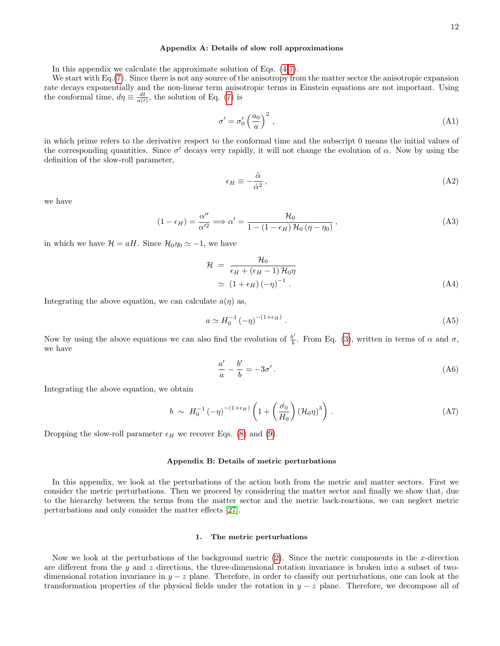#### <span id="page-11-0"></span>Appendix A: Details of slow roll approximations

In this appendix we calculate the approximate solution of Eqs. [\(4-7\)](#page-1-2).

We start with Eq. [\(7\)](#page-1-2). Since there is not any source of the anisotropy from the matter sector the anisotropic expansion rate decays exponentially and the non-linear term anisotropic terms in Einstein equations are not important. Using the conformal time,  $d\eta \equiv \frac{dt}{a(t)}$ , the solution of Eq. [\(7\)](#page-1-2) is

$$
\sigma' = \sigma_0' \left(\frac{a_0}{a}\right)^2,\tag{A1}
$$

in which prime refers to the derivative respect to the conformal time and the subscript 0 means the initial values of the corresponding quantities. Since  $\sigma'$  decays very rapidly, it will not change the evolution of  $\alpha$ . Now by using the definition of the slow-roll parameter,

$$
\epsilon_H \equiv -\frac{\ddot{\alpha}}{\dot{\alpha}^2},\tag{A2}
$$

we have

$$
(1 - \epsilon_H) = \frac{\alpha''}{\alpha'^2} \Longrightarrow \alpha' = \frac{\mathcal{H}_0}{1 - (1 - \epsilon_H)\,\mathcal{H}_0\,(\eta - \eta_0)},\tag{A3}
$$

in which we have  $\mathcal{H} = aH$ . Since  $\mathcal{H}_0 \eta_0 \simeq -1$ , we have

$$
\mathcal{H} = \frac{\mathcal{H}_0}{\epsilon_H + (\epsilon_H - 1)\mathcal{H}_0 \eta} \n\approx (1 + \epsilon_H)(-\eta)^{-1}.
$$
\n(A4)

Integrating the above equation, we can calculate  $a(\eta)$  as,

$$
a \simeq H_0^{-1} \left( -\eta \right)^{-\left(1+\epsilon_H\right)} . \tag{A5}
$$

Now by using the above equations we can also find the evolution of  $\frac{b'}{b}$  $\frac{\partial}{\partial b}$ . From Eq. [\(3\)](#page-1-3), written in terms of  $\alpha$  and  $\sigma$ , we have

$$
\frac{a'}{a} - \frac{b'}{b} = -3\sigma' \,. \tag{A6}
$$

Integrating the above equation, we obtain

$$
b \sim H_0^{-1} \left(-\eta\right)^{-\left(1+\epsilon_H\right)} \left(1+\left(\frac{\dot{\sigma}_0}{H_0}\right) \left(\mathcal{H}_0 \eta\right)^3\right). \tag{A7}
$$

Dropping the slow-roll parameter  $\epsilon_H$  we recover Eqs. [\(8\)](#page-1-1) and [\(9\)](#page-1-1).

## <span id="page-11-1"></span>Appendix B: Details of metric perturbations

In this appendix, we look at the perturbations of the action both from the metric and matter sectors. First we consider the metric perturbations. Then we proceed by considering the matter sector and finally we show that, due to the hierarchy between the terms from the matter sector and the metric back-reactions, we can neglect metric perturbations and only consider the matter effects [\[27\]](#page-14-19).

#### 1. The metric perturbations

Now we look at the perturbations of the background metric  $(2)$ . Since the metric components in the x-direction are different from the y and z directions, the three-dimensional rotation invariance is broken into a subset of twodimensional rotation invariance in  $y - z$  plane. Therefore, in order to classify our perturbations, one can look at the transformation properties of the physical fields under the rotation in  $y - z$  plane. Therefore, we decompose all of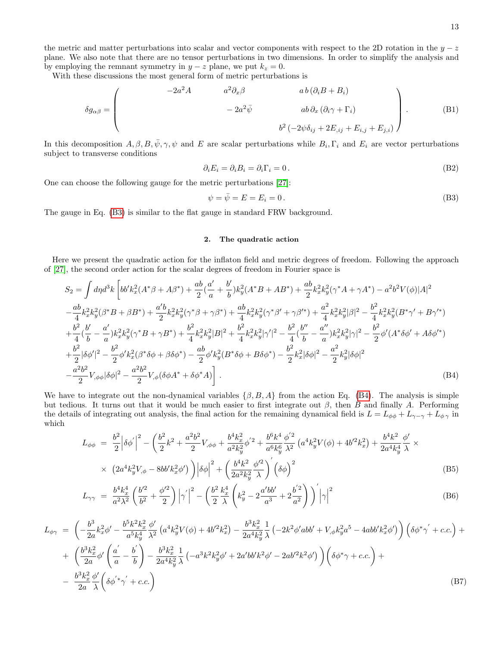the metric and matter perturbations into scalar and vector components with respect to the 2D rotation in the  $y - z$ plane. We also note that there are no tensor perturbations in two dimensions. In order to simplify the analysis and by employing the remnant symmetry in  $y - z$  plane, we put  $k_z = 0$ .

With these discussions the most general form of metric perturbations is

$$
\delta g_{\alpha\beta} = \begin{pmatrix} -2a^2 A & a^2 \partial_x \beta & ab(\partial_i B + B_i) \\ -2a^2 \bar{\psi} & ab \partial_x (\partial_i \gamma + \Gamma_i) \\ b^2 (-2\psi \delta_{ij} + 2E_{,ij} + E_{i,j} + E_{j,i}) \end{pmatrix} .
$$
 (B1)

In this decomposition  $A, \beta, B, \bar{\psi}, \gamma, \psi$  and E are scalar perturbations while  $B_i, \Gamma_i$  and  $E_i$  are vector perturbations subject to transverse conditions

$$
\partial_i E_i = \partial_i B_i = \partial_i \Gamma_i = 0. \tag{B2}
$$

One can choose the following gauge for the metric perturbations [\[27\]](#page-14-19):

<span id="page-12-1"></span>
$$
\psi = \bar{\psi} = E = E_i = 0. \tag{B3}
$$

The gauge in Eq. [\(B3\)](#page-12-1) is similar to the flat gauge in standard FRW background.

## <span id="page-12-0"></span>2. The quadratic action

Here we present the quadratic action for the inflaton field and metric degrees of freedom. Following the approach of [\[27\]](#page-14-19), the second order action for the scalar degrees of freedom in Fourier space is

<span id="page-12-2"></span>
$$
S_{2} = \int d\eta d^{3}k \left[ b b' k_{x}^{2} (A^{*} \beta + A \beta^{*}) + \frac{ab}{2} (\frac{a'}{a} + \frac{b'}{b}) k_{y}^{2} (A^{*} B + A B^{*}) + \frac{ab}{2} k_{x}^{2} k_{y}^{2} (\gamma^{*} A + \gamma A^{*}) - a^{2} b^{2} V(\phi) |A|^{2} \right.
$$
  
\n
$$
- \frac{ab}{4} k_{x}^{2} k_{y}^{2} (\beta^{*} B + \beta B^{*}) + \frac{a' b}{2} k_{x}^{2} k_{y}^{2} (\gamma^{*} \beta + \gamma \beta^{*}) + \frac{ab}{4} k_{x}^{2} k_{y}^{2} (\gamma^{*} \beta' + \gamma \beta'^{*}) + \frac{a^{2}}{4} k_{x}^{2} k_{y}^{2} |\beta|^{2} - \frac{b^{2}}{4} k_{x}^{2} k_{y}^{2} (B^{*} \gamma' + B \gamma'^{*})
$$
  
\n
$$
+ \frac{b^{2}}{4} (\frac{b'}{b} - \frac{a'}{a}) k_{x}^{2} k_{y}^{2} (\gamma^{*} B + \gamma B^{*}) + \frac{b^{2}}{4} k_{x}^{2} k_{y}^{2} |B|^{2} + \frac{b^{2}}{4} k_{x}^{2} k_{y}^{2} |\gamma'|^{2} - \frac{b^{2}}{4} (\frac{b''}{b} - \frac{a''}{a}) k_{x}^{2} k_{y}^{2} |\gamma|^{2} - \frac{b^{2}}{2} \phi' (A^{*} \delta \phi' + A \delta \phi'^{*})
$$
  
\n
$$
+ \frac{b^{2}}{2} |\delta \phi'|^{2} - \frac{b^{2}}{2} \phi' k_{x}^{2} (\beta^{*} \delta \phi + \beta \delta \phi^{*}) - \frac{ab}{2} \phi' k_{y}^{2} (B^{*} \delta \phi + B \delta \phi^{*}) - \frac{b^{2}}{2} k_{x}^{2} |\delta \phi|^{2} - \frac{a^{2}}{2} k_{y}^{2} |\delta \phi|^{2}
$$
  
\n
$$
- \frac{a^{2} b^{2}}{2} V_{,\phi\phi} |\delta \phi|^{2} - \frac{a^{2} b^{2}}
$$

We have to integrate out the non-dynamical variables  $\{\beta, B, A\}$  from the action Eq. [\(B4\)](#page-12-2). The analysis is simple but tedious. It turns out that it would be much easier to first integrate out  $\beta$ , then B and finally A. Performing the details of integrating out analysis, the final action for the remaining dynamical field is  $L = L_{\phi\phi} + L_{\gamma-\gamma} + L_{\phi\gamma}$  in which

<span id="page-12-4"></span>
$$
L_{\phi\phi} = \frac{b^2}{2} \left| \delta\phi' \right|^2 - \left( \frac{b^2}{2} k^2 + \frac{a^2 b^2}{2} V_{,\phi\phi} + \frac{b^4 k_x^2}{a^2 k_y^2} \phi'^2 + \frac{b^6 k^4}{a^6 k_y^6} \frac{\phi'^2}{\lambda^2} \left( a^4 k_y^2 V(\phi) + 4b'^2 k_x^2 \right) + \frac{b^4 k^2}{2a^4 k_y^4} \frac{\phi'}{\lambda} \times \left( 2a^4 k_y^2 V_{,\phi} - 8bb' k_x^2 \phi' \right) \right) \left| \delta\phi \right|^2 + \left( \frac{b^4 k^2}{2a^2 k_y^2} \frac{\phi'^2}{\lambda} \right)' \left( \delta\phi \right)^2 \tag{B5}
$$

$$
L_{\gamma\gamma} = \frac{b^4 k_x^4}{a^2 \lambda^2} \left( \frac{b'^2}{b^2} + \frac{\phi'^2}{2} \right) \left| \gamma' \right|^2 - \left( \frac{b^2}{2} \frac{k_x^4}{\lambda} \left( k_y^2 - 2 \frac{a'b' b'}{a^3} + 2 \frac{b'^2}{a^2} \right) \right)' \left| \gamma \right|^2 \tag{B6}
$$

<span id="page-12-3"></span>
$$
L_{\phi\gamma} = \left( -\frac{b^3}{2a} k_x^2 \phi' - \frac{b^5 k^2 k_x^2}{a^5 k_y^4} \frac{\phi'}{\lambda^2} \left( a^4 k_y^2 V(\phi) + 4b'^2 k_x^2 \right) - \frac{b^3 k_x^2}{2a^4 k_y^2} \frac{1}{\lambda} \left( -2k^2 \phi' abb' + V_{,\phi} k_y^2 a^5 - 4abb' k_x^2 \phi' \right) \right) \left( \delta \phi^* \gamma' + c.c. \right) +
$$
  
+ 
$$
\left( \frac{b^3 k_x^2}{2a} \phi' \left( \frac{a'}{a} - \frac{b'}{b} \right) - \frac{b^3 k_x^2}{2a^4 k_y^2} \frac{1}{\lambda} \left( -a^3 k^2 k_y^2 \phi' + 2a'bb' k^2 \phi' - 2ab'^2 k^2 \phi' \right) \right) \left( \delta \phi^* \gamma + c.c. \right) +
$$
  
- 
$$
\frac{b^3 k_x^2}{2a} \frac{\phi'}{\lambda} \left( \delta \phi'^* \gamma' + c.c. \right)
$$
(B7)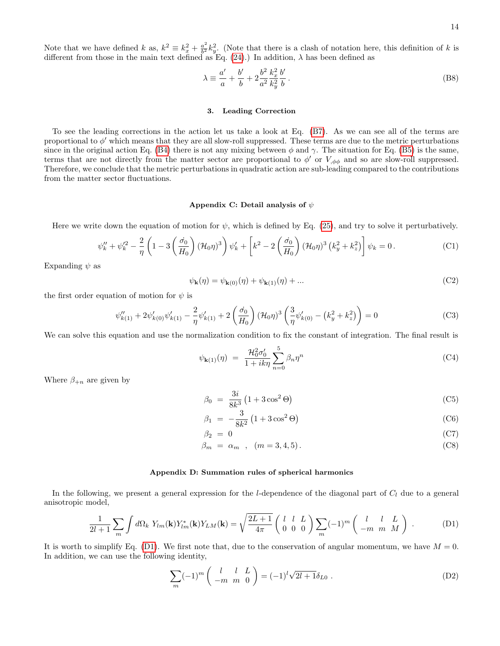Note that we have defined k as,  $k^2 \equiv k_x^2 + \frac{a^2}{b^2}$  $\frac{a^2}{b^2}k_y^2$ . (Note that there is a clash of notation here, this definition of k is different from those in the main text defined as Eq. [\(24\)](#page-3-1).) In addition,  $\lambda$  has been defined as

$$
\lambda \equiv \frac{a'}{a} + \frac{b'}{b} + 2\frac{b^2}{a^2} \frac{k_x^2}{k_y^2} \frac{b'}{b} \,. \tag{B8}
$$

#### 3. Leading Correction

To see the leading corrections in the action let us take a look at Eq. [\(B7\)](#page-12-3). As we can see all of the terms are proportional to  $\phi'$  which means that they are all slow-roll suppressed. These terms are due to the metric perturbations since in the original action Eq. [\(B4\)](#page-12-2) there is not any mixing between  $\phi$  and  $\gamma$ . The situation for Eq. [\(B5\)](#page-12-4) is the same, terms that are not directly from the matter sector are proportional to  $\phi'$  or  $V_{,\phi\phi}$  and so are slow-roll suppressed. Therefore, we conclude that the metric perturbations in quadratic action are sub-leading compared to the contributions from the matter sector fluctuations.

#### <span id="page-13-0"></span>Appendix C: Detail analysis of  $\psi$

Here we write down the equation of motion for  $\psi$ , which is defined by Eq. [\(25\)](#page-3-0), and try to solve it perturbatively.

$$
\psi_k'' + \psi_k'^2 - \frac{2}{\eta} \left( 1 - 3 \left( \frac{\dot{\sigma_0}}{H_0} \right) (\mathcal{H}_0 \eta)^3 \right) \psi_k' + \left[ k^2 - 2 \left( \frac{\dot{\sigma_0}}{H_0} \right) (\mathcal{H}_0 \eta)^3 (k_y^2 + k_z^2) \right] \psi_k = 0. \tag{C1}
$$

Expanding  $\psi$  as

$$
\psi_{\mathbf{k}}(\eta) = \psi_{\mathbf{k}(0)}(\eta) + \psi_{\mathbf{k}(1)}(\eta) + \dots \tag{C2}
$$

the first order equation of motion for  $\psi$  is

$$
\psi_{k(1)}'' + 2\psi_{k(0)}'\psi_{k(1)}' - \frac{2}{\eta}\psi_{k(1)}' + 2\left(\frac{\dot{\sigma_0}}{H_0}\right)(\mathcal{H}_0\eta)^3 \left(\frac{3}{\eta}\psi_{k(0)}' - \left(k_y^2 + k_z^2\right)\right) = 0
$$
\n(C3)

We can solve this equation and use the normalization condition to fix the constant of integration. The final result is

$$
\psi_{\mathbf{k}(1)}(\eta) = \frac{\mathcal{H}_0^2 \sigma_0'}{1 + ik\eta} \sum_{n=0}^5 \beta_n \eta^n \tag{C4}
$$

Where  $\beta_{+n}$  are given by

$$
\beta_0 = \frac{3i}{8k^3} \left( 1 + 3\cos^2 \Theta \right) \tag{C5}
$$

$$
\beta_1 = -\frac{3}{8k^2} \left( 1 + 3 \cos^2 \Theta \right) \tag{C6}
$$

$$
\beta_2 = 0 \tag{C7}
$$

<span id="page-13-2"></span>
$$
\beta_m = \alpha_m , \quad (m = 3, 4, 5). \tag{C8}
$$

#### <span id="page-13-1"></span>Appendix D: Summation rules of spherical harmonics

In the following, we present a general expression for the *l*-dependence of the diagonal part of  $C_l$  due to a general anisotropic model,

$$
\frac{1}{2l+1}\sum_{m}\int d\Omega_{k} Y_{lm}(\mathbf{k})Y_{lm}^{*}(\mathbf{k})Y_{LM}(\mathbf{k}) = \sqrt{\frac{2L+1}{4\pi}}\left(\begin{array}{cc} l & l & L\\ 0 & 0 & 0 \end{array}\right)\sum_{m}(-1)^{m}\left(\begin{array}{cc} l & l & L\\ -m & m & M \end{array}\right) . \tag{D1}
$$

It is worth to simplify Eq. [\(D1\)](#page-13-2). We first note that, due to the conservation of angular momentum, we have  $M = 0$ . In addition, we can use the following identity,

$$
\sum_{m} (-1)^{m} \begin{pmatrix} l & l & L \\ -m & m & 0 \end{pmatrix} = (-1)^{l} \sqrt{2l+1} \delta_{L0} . \tag{D2}
$$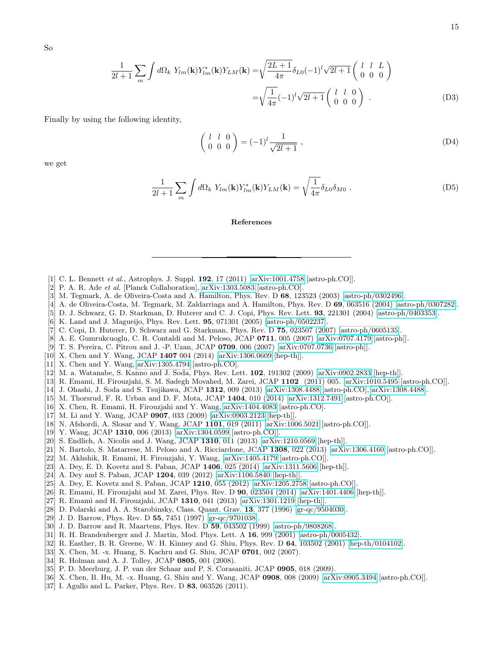$$
\frac{1}{2l+1} \sum_{m} \int d\Omega_{k} Y_{lm}(\mathbf{k}) Y_{lm}^{*}(\mathbf{k}) Y_{LM}(\mathbf{k}) = \sqrt{\frac{2L+1}{4\pi}} \delta_{L0}(-1)^{l} \sqrt{2l+1} \begin{pmatrix} l & l & L \\ 0 & 0 & 0 \end{pmatrix}
$$

$$
= \sqrt{\frac{1}{4\pi}} (-1)^{l} \sqrt{2l+1} \begin{pmatrix} l & l & 0 \\ 0 & 0 & 0 \end{pmatrix} .
$$
 (D3)

Finally by using the following identity,

$$
\left(\begin{array}{cc} l & l & 0\\ 0 & 0 & 0 \end{array}\right) = (-1)^l \frac{1}{\sqrt{2l+1}},\tag{D4}
$$

we get

$$
\frac{1}{2l+1} \sum_{m} \int d\Omega_k \ Y_{lm}(\mathbf{k}) Y_{lm}^*(\mathbf{k}) Y_{LM}(\mathbf{k}) = \sqrt{\frac{1}{4\pi}} \delta_{L0} \delta_{M0} . \tag{D5}
$$

#### References

- <span id="page-14-0"></span>[1] C. L. Bennett et al., Astrophys. J. Suppl. 192, 17 (2011) [\[arXiv:1001.4758](http://arxiv.org/abs/1001.4758) [astro-ph.CO]].
- <span id="page-14-1"></span>[2] P. A. R. Ade et al. [Planck Collaboration], [arXiv:1303.5083](http://arxiv.org/abs/1303.5083) [astro-ph.CO].
- <span id="page-14-2"></span>[3] M. Tegmark, A. de Oliveira-Costa and A. Hamilton, Phys. Rev. D 68, 123523 (2003) [\[astro-ph/0302496\]](http://arxiv.org/abs/astro-ph/0302496).
- [4] A. de Oliveira-Costa, M. Tegmark, M. Zaldarriaga and A. Hamilton, Phys. Rev. D 69, 063516 (2004) [\[astro-ph/0307282\]](http://arxiv.org/abs/astro-ph/0307282).
- [5] D. J. Schwarz, G. D. Starkman, D. Huterer and C. J. Copi, Phys. Rev. Lett. 93, 221301 (2004) [\[astro-ph/0403353\]](http://arxiv.org/abs/astro-ph/0403353).
- [6] K. Land and J. Magueijo, Phys. Rev. Lett. 95, 071301 (2005) [\[astro-ph/0502237\]](http://arxiv.org/abs/astro-ph/0502237).
- <span id="page-14-3"></span>[7] C. Copi, D. Huterer, D. Schwarz and G. Starkman, Phys. Rev. D 75, 023507 (2007) [\[astro-ph/0605135\]](http://arxiv.org/abs/astro-ph/0605135).
- <span id="page-14-6"></span>[8] A. E. Gumrukcuoglu, C. R. Contaldi and M. Peloso, JCAP 0711, 005 (2007) [\[arXiv:0707.4179](http://arxiv.org/abs/0707.4179) [astro-ph]].
- <span id="page-14-7"></span>[9] T. S. Pereira, C. Pitrou and J. -P. Uzan, JCAP 0709, 006 (2007) [\[arXiv:0707.0736](http://arxiv.org/abs/0707.0736) [astro-ph]].
- <span id="page-14-4"></span>[10] X. Chen and Y. Wang, JCAP 1407 004 (2014) [\[arXiv:1306.0609](http://arxiv.org/abs/1306.0609) [hep-th]].
- <span id="page-14-5"></span>[11] X. Chen and Y. Wang, [arXiv:1305.4794](http://arxiv.org/abs/1305.4794) [astro-ph.CO].
- <span id="page-14-8"></span>[12] M. a. Watanabe, S. Kanno and J. Soda, Phys. Rev. Lett. **102**, 191302 (2009) [\[arXiv:0902.2833](http://arxiv.org/abs/0902.2833) [hep-th]].
- <span id="page-14-9"></span>[13] R. Emami, H. Firouzjahi, S. M. Sadegh Movahed, M. Zarei, JCAP 1102 (2011) 005. [\[arXiv:1010.5495](http://arxiv.org/abs/1010.5495) [astro-ph.CO]].
- <span id="page-14-10"></span>[14] J. Ohashi, J. Soda and S. Tsujikawa, JCAP 1312, 009 (2013) [\[arXiv:1308.4488](http://arxiv.org/abs/1308.4488) [astro-ph.CO], [arXiv:1308.4488\]](http://arxiv.org/abs/1308.4488).
- [15] M. Thorsrud, F. R. Urban and D. F. Mota, JCAP 1404, 010 (2014) [\[arXiv:1312.7491](http://arxiv.org/abs/1312.7491) [astro-ph.CO]].
- <span id="page-14-11"></span>[16] X. Chen, R. Emami, H. Firouzjahi and Y. Wang, [arXiv:1404.4083](http://arxiv.org/abs/1404.4083) [astro-ph.CO].
- <span id="page-14-12"></span>[17] M. Li and Y. Wang, JCAP 0907, 033 (2009) [\[arXiv:0903.2123](http://arxiv.org/abs/0903.2123) [hep-th]].
- [18] N. Afshordi, A. Slosar and Y. Wang, JCAP 1101, 019 (2011) [\[arXiv:1006.5021](http://arxiv.org/abs/1006.5021) [astro-ph.CO]].
- <span id="page-14-13"></span>[19] Y. Wang, JCAP 1310, 006 (2013) [\[arXiv:1304.0599](http://arxiv.org/abs/1304.0599) [astro-ph.CO]].
- <span id="page-14-14"></span>[20] S. Endlich, A. Nicolis and J. Wang, JCAP 1310, 011 (2013) [\[arXiv:1210.0569](http://arxiv.org/abs/1210.0569) [hep-th]].
- [21] N. Bartolo, S. Matarrese, M. Peloso and A. Ricciardone, JCAP 1308, 022 (2013) [\[arXiv:1306.4160](http://arxiv.org/abs/1306.4160) [astro-ph.CO]].
- <span id="page-14-15"></span>[22] M. Akhshik, R. Emami, H. Firouzjahi, Y. Wang, [\[arXiv:1405.4179](http://arxiv.org/abs/1405.4179) [astro-ph.CO]].
- <span id="page-14-16"></span>[23] A. Dey, E. D. Kovetz and S. Paban, JCAP 1406, 025 (2014) [\[arXiv:1311.5606](http://arxiv.org/abs/1311.5606) [hep-th]].
- [24] A. Dey and S. Paban, JCAP 1204, 039 (2012) [\[arXiv:1106.5840](http://arxiv.org/abs/1106.5840) [hep-th]].
- <span id="page-14-17"></span>[25] A. Dey, E. Kovetz and S. Paban, JCAP 1210, 055 (2012) [\[arXiv:1205.2758](http://arxiv.org/abs/1205.2758) [astro-ph.CO]].
- <span id="page-14-18"></span>[26] R. Emami, H. Firouzjahi and M. Zarei, Phys. Rev. D 90, 023504 (2014) [\[arXiv:1401.4406](http://arxiv.org/abs/1401.4406) [hep-th]].
- <span id="page-14-19"></span>[27] R. Emami and H. Firouzjahi, JCAP 1310, 041 (2013) [\[arXiv:1301.1219](http://arxiv.org/abs/1301.1219) [hep-th]].
- <span id="page-14-20"></span>[28] D. Polarski and A. A. Starobinsky, Class. Quant. Grav. 13, 377 (1996) [\[gr-qc/9504030\]](http://arxiv.org/abs/gr-qc/9504030).
- <span id="page-14-21"></span>[29] J. D. Barrow, Phys. Rev. D 55, 7451 (1997) [\[gr-qc/9701038\]](http://arxiv.org/abs/gr-qc/9701038).
- <span id="page-14-22"></span>[30] J. D. Barrow and R. Maartens, Phys. Rev. D 59, 043502 (1999) [\[astro-ph/9808268\]](http://arxiv.org/abs/astro-ph/9808268).
- <span id="page-14-23"></span>[31] R. H. Brandenberger and J. Martin, Mod. Phys. Lett. A 16, 999 (2001) [\[astro-ph/0005432\]](http://arxiv.org/abs/astro-ph/0005432).
- [32] R. Easther, B. R. Greene, W. H. Kinney and G. Shiu, Phys. Rev. D 64, 103502 (2001) [\[hep-th/0104102\]](http://arxiv.org/abs/hep-th/0104102).
- [33] X. Chen, M. -x. Huang, S. Kachru and G. Shiu, JCAP 0701, 002 (2007).
- [34] R. Holman and A. J. Tolley, JCAP 0805, 001 (2008).
- [35] P. D. Meerburg, J. P. van der Schaar and P. S. Corasaniti, JCAP 0905, 018 (2009).
- [36] X. Chen, B. Hu, M. -x. Huang, G. Shiu and Y. Wang, JCAP 0908, 008 (2009) [\[arXiv:0905.3494](http://arxiv.org/abs/0905.3494) [astro-ph.CO]].
- [37] I. Agullo and L. Parker, Phys. Rev. D **83**, 063526 (2011).